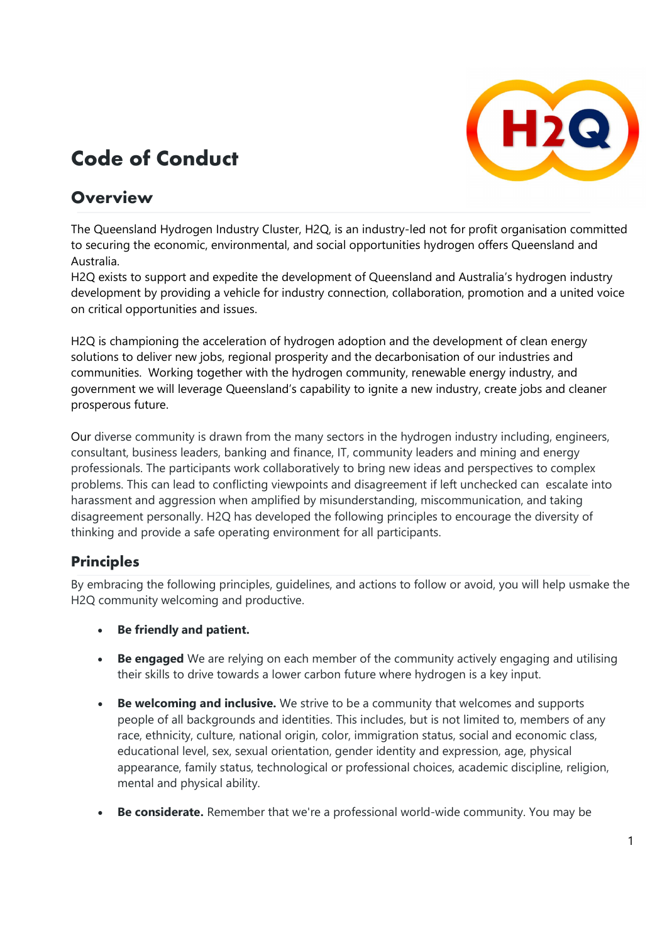# (H2Q)

## Code of Conduct<br>Overview

The Queensland Hydrogen Industry Cluster, H2Q, is an industry-led not for profit organisation committed to securing the economic, environmental, and social opportunities hydrogen offers Queensland and Australia.

H2Q exists to support and expedite the development of Queensland and Australia's hydrogen industry development by providing a vehicle for industry connection, collaboration, promotion and a united voice on critical opportunities and issues.

H2Q is championing the acceleration of hydrogen adoption and the development of clean energy solutions to deliver new jobs, regional prosperity and the decarbonisation of our industries and communities. Working together with the hydrogen community, renewable energy industry, and government we will leverage Queensland's capability to ignite a new industry, create jobs and cleaner prosperous future.

Our diverse community is drawn from the many sectors in the hydrogen industry including, engineers, consultant, business leaders, banking and finance, IT, community leaders and mining and energy professionals. The participants work collaboratively to bring new ideas and perspectives to complex problems. This can lead to conflicting viewpoints and disagreement if left unchecked can escalate into harassment and aggression when amplified by misunderstanding, miscommunication, and taking disagreement personally. H2Q has developed the following principles to encourage the diversity of thinking and provide a safe operating environment for all participants.

#### **Principles**

By embracing the following principles, guidelines, and actions to follow or avoid, you will help usmake the H2Q community welcoming and productive.

- Be friendly and patient.
- Be engaged We are relying on each member of the community actively engaging and utilising their skills to drive towards a lower carbon future where hydrogen is a key input.
- Be welcoming and inclusive. We strive to be a community that welcomes and supports people of all backgrounds and identities. This includes, but is not limited to, members of any race, ethnicity, culture, national origin, color, immigration status, social and economic class, educational level, sex, sexual orientation, gender identity and expression, age, physical appearance, family status, technological or professional choices, academic discipline, religion, mental and physical ability.
- Be considerate. Remember that we're a professional world-wide community. You may be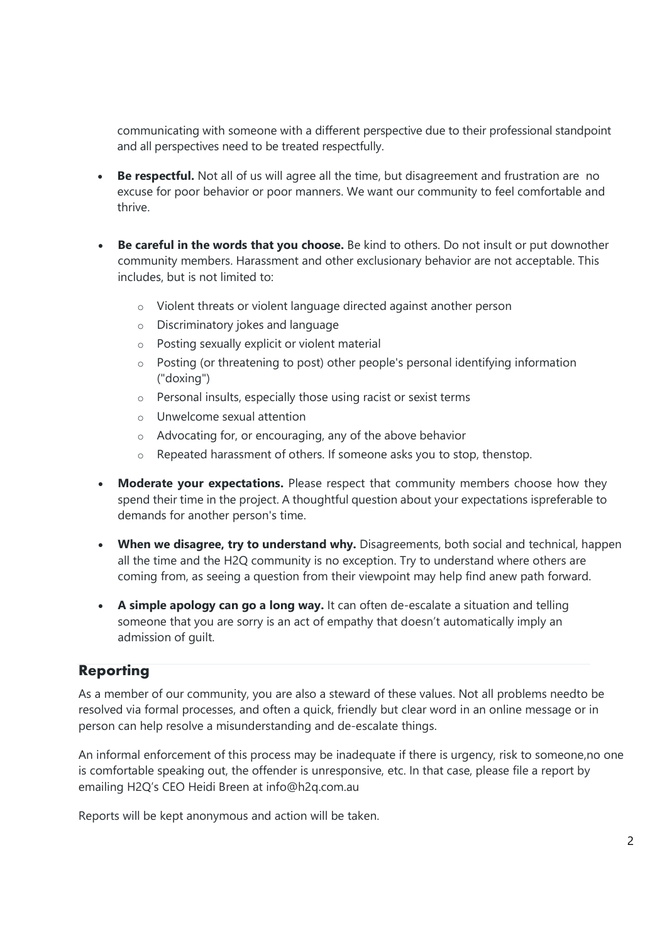communicating with someone with a different perspective due to their professional standpoint and all perspectives need to be treated respectfully.

- Be respectful. Not all of us will agree all the time, but disagreement and frustration are no excuse for poor behavior or poor manners. We want our community to feel comfortable and thrive.
- Be careful in the words that you choose. Be kind to others. Do not insult or put downother community members. Harassment and other exclusionary behavior are not acceptable. This includes, but is not limited to:
	- o Violent threats or violent language directed against another person
	- o Discriminatory jokes and language
	- o Posting sexually explicit or violent material
	- o Posting (or threatening to post) other people's personal identifying information ("doxing")
	- o Personal insults, especially those using racist or sexist terms
	- o Unwelcome sexual attention
	- o Advocating for, or encouraging, any of the above behavior
	- o Repeated harassment of others. If someone asks you to stop, thenstop.
- Moderate your expectations. Please respect that community members choose how they spend their time in the project. A thoughtful question about your expectations is preferable to demands for another person's time.
- When we disagree, try to understand why. Disagreements, both social and technical, happen all the time and the H2Q community is no exception. Try to understand where others are coming from, as seeing a question from their viewpoint may help find anew path forward.
- A simple apology can go a long way. It can often de-escalate a situation and telling someone that you are sorry is an act of empathy that doesn't automatically imply an admission of guilt.

#### Reporting

As a member of our community, you are also a steward of these values. Not all problems needto be resolved via formal processes, and often a quick, friendly but clear word in an online message or in person can help resolve a misunderstanding and de-escalate things.

An informal enforcement of this process may be inadequate if there is urgency, risk to someone, no one is comfortable speaking out, the offender is unresponsive, etc. In that case, please file a report by emailing H2Q's CEO Heidi Breen at info@h2q.com.au

Reports will be kept anonymous and action will be taken.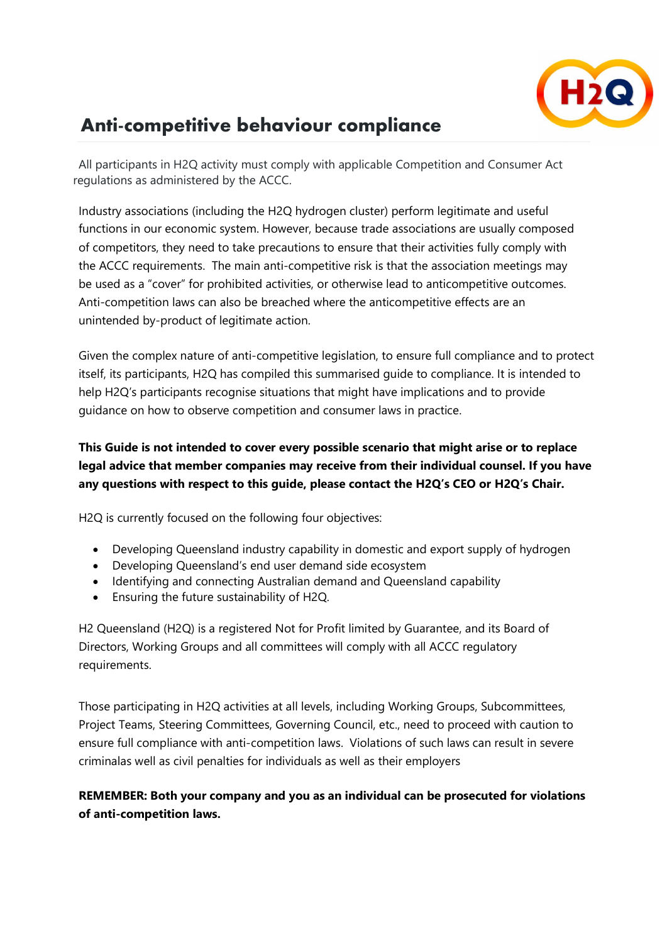

### Anti-competitive behaviour compliance

All participants in H2Q activity must comply with applicable Competition and Consumer Act regulations as administered by the ACCC.

Industry associations (including the H2Q hydrogen cluster) perform legitimate and useful functions in our economic system. However, because trade associations are usually composed of competitors, they need to take precautions to ensure that their activities fully comply with the ACCC requirements. The main anti-competitive risk is that the association meetings may be used as a "cover" for prohibited activities, or otherwise lead to anticompetitive outcomes. Anti-competition laws can also be breached where the anticompetitive effects are an unintended by-product of legitimate action.

Given the complex nature of anti-competitive legislation, to ensure full compliance and to protect itself, its participants, H2Q has compiled this summarised guide to compliance. It is intended to help H2Q's participants recognise situations that might have implications and to provide guidance on how to observe competition and consumer laws in practice.

#### This Guide is not intended to cover every possible scenario that might arise or to replace legal advice that member companies may receive from their individual counsel. If you have any questions with respect to this guide, please contact the H2Q's CEO or H2Q's Chair.

H2Q is currently focused on the following four objectives:

- Developing Queensland industry capability in domestic and export supply of hydrogen
- Developing Queensland's end user demand side ecosystem
- Identifying and connecting Australian demand and Queensland capability
- Ensuring the future sustainability of H2Q.

H2 Queensland (H2Q) is a registered Not for Profit limited by Guarantee, and its Board of Directors, Working Groups and all committees will comply with all ACCC regulatory requirements.

Those participating in H2Q activities at all levels, including Working Groups, Subcommittees, Project Teams, Steering Committees, Governing Council, etc., need to proceed with caution to ensure full compliance with anti-competition laws. Violations of such laws can result in severe criminalas well as civil penalties for individuals as well as their employers

#### REMEMBER: Both your company and you as an individual can be prosecuted for violations of anti-competition laws.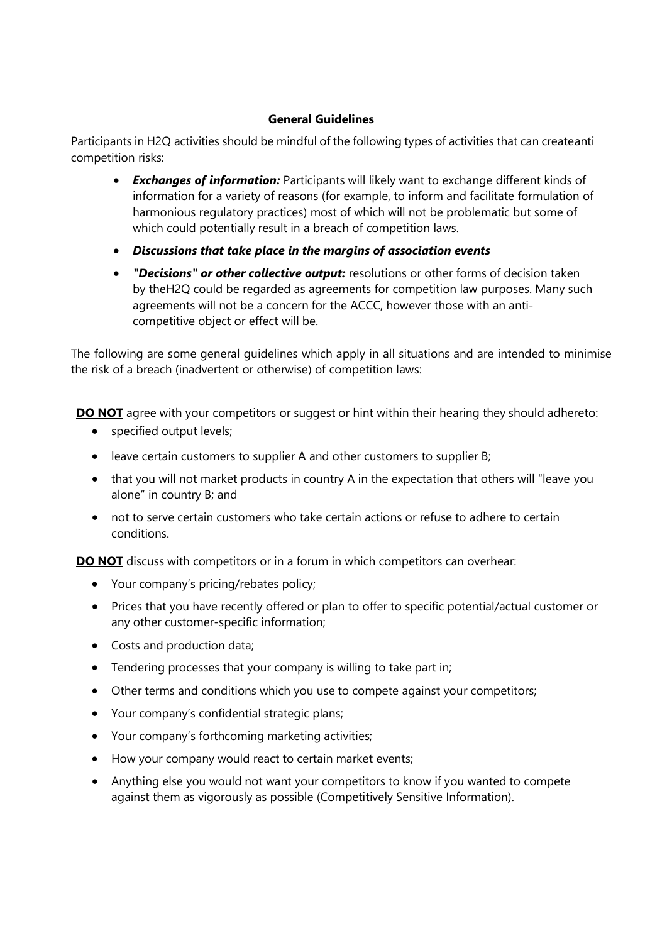#### General Guidelines

Participants in H2Q activities should be mindful of the following types of activities that can createanti competition risks:

- **Exchanges of information:** Participants will likely want to exchange different kinds of information for a variety of reasons (for example, to inform and facilitate formulation of harmonious regulatory practices) most of which will not be problematic but some of which could potentially result in a breach of competition laws.
- Discussions that take place in the margins of association events
- "Decisions" or other collective output: resolutions or other forms of decision taken by the H2Q could be regarded as agreements for competition law purposes. Many such agreements will not be a concern for the ACCC, however those with an anticompetitive object or effect will be.

The following are some general guidelines which apply in all situations and are intended to minimise the risk of a breach (inadvertent or otherwise) of competition laws:

DO NOT agree with your competitors or suggest or hint within their hearing they should adhereto:

- specified output levels;
- leave certain customers to supplier A and other customers to supplier B;
- that you will not market products in country A in the expectation that others will "leave you alone" in country B; and
- not to serve certain customers who take certain actions or refuse to adhere to certain conditions.

DO NOT discuss with competitors or in a forum in which competitors can overhear:

- Your company's pricing/rebates policy;
- Prices that you have recently offered or plan to offer to specific potential/actual customer or any other customer-specific information;
- Costs and production data:
- Tendering processes that your company is willing to take part in;
- Other terms and conditions which you use to compete against your competitors;
- Your company's confidential strategic plans;
- Your company's forthcoming marketing activities;
- How your company would react to certain market events;
- Anything else you would not want your competitors to know if you wanted to compete against them as vigorously as possible (Competitively Sensitive Information).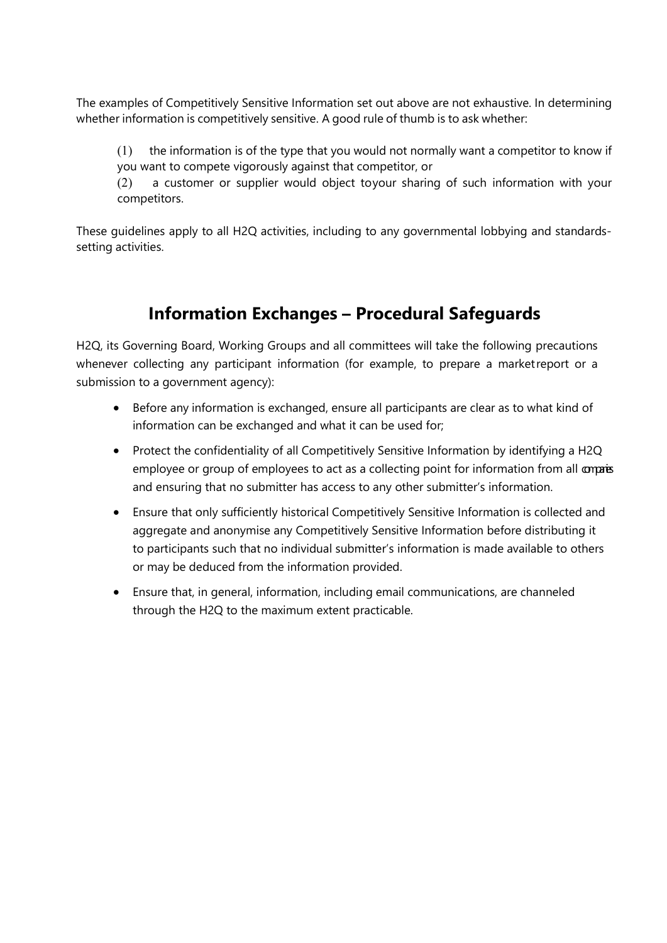The examples of Competitively Sensitive Information set out above are not exhaustive. In determining whether information is competitively sensitive. A good rule of thumb is to ask whether:

 $(1)$  the information is of the type that you would not normally want a competitor to know if you want to compete vigorously against that competitor, or

(2) a customer or supplier would object toyour sharing of such information with your competitors.

These guidelines apply to all H2Q activities, including to any governmental lobbying and standardssetting activities.

#### Information Exchanges – Procedural Safeguards

H2Q, its Governing Board, Working Groups and all committees will take the following precautions whenever collecting any participant information (for example, to prepare a market report or a submission to a government agency):

- Before any information is exchanged, ensure all participants are clear as to what kind of information can be exchanged and what it can be used for;
- Protect the confidentiality of all Competitively Sensitive Information by identifying a H2Q employee or group of employees to act as a collecting point for information from all comparies and ensuring that no submitter has access to any other submitter's information.
- Ensure that only sufficiently historical Competitively Sensitive Information is collected and aggregate and anonymise any Competitively Sensitive Information before distributing it to participants such that no individual submitter's information is made available to others or may be deduced from the information provided.
- Ensure that, in general, information, including email communications, are channeled through the H2Q to the maximum extent practicable.